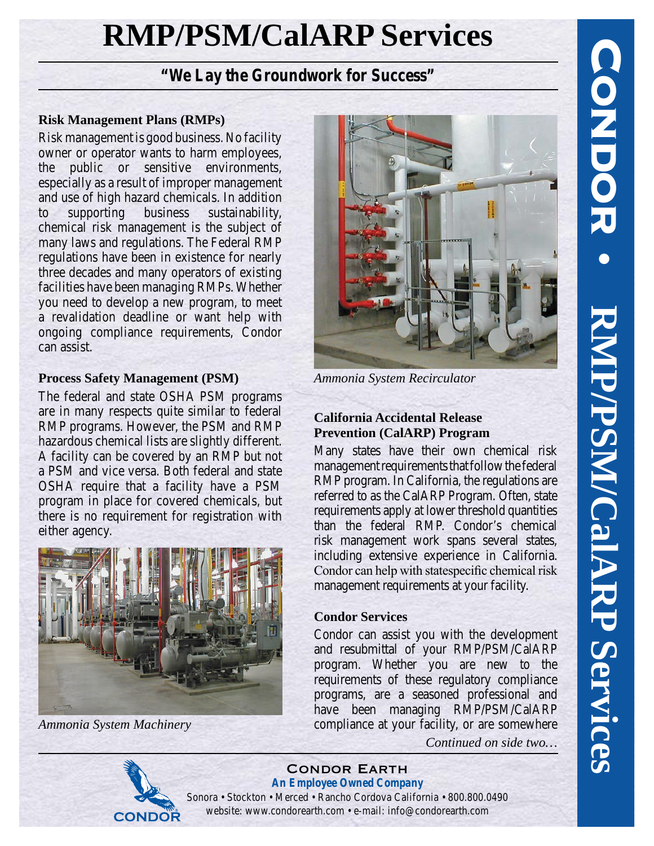# **RMP/PSM/CalARP Services**

## *"We Lay the Groundwork for Success"*

#### **Risk Management Plans (RMPs)**

Risk management is good business. No facility owner or operator wants to harm employees, the public or sensitive environments, especially as a result of improper management and use of high hazard chemicals. In addition to supporting business sustainability, chemical risk management is the subject of many laws and regulations. The Federal RMP regulations have been in existence for nearly three decades and many operators of existing facilities have been managing RMPs. Whether you need to develop a new program, to meet a revalidation deadline or want help with ongoing compliance requirements, Condor can assist.

## **Process Safety Management (PSM)**

The federal and state OSHA PSM programs are in many respects quite similar to federal RMP programs. However, the PSM and RMP hazardous chemical lists are slightly different. A facility can be covered by an RMP but not a PSM and vice versa. Both federal and state OSHA require that a facility have a PSM program in place for covered chemicals, but there is no requirement for registration with either agency.



**CONDOR** 

*Ammonia System Machinery*



*Ammonia System Recirculator*

## **California Accidental Release Prevention (CalARP) Program**

Many states have their own chemical risk management requirements that follow the federal RMP program. In California, the regulations are referred to as the CalARP Program. Often, state requirements apply at lower threshold quantities than the federal RMP. Condor's chemical risk management work spans several states, including extensive experience in California. Condor can help with statespecific chemical risk management requirements at your facility.

## **Condor Services**

Condor can assist you with the development and resubmittal of your RMP/PSM/CalARP program. Whether you are new to the requirements of these regulatory compliance programs, are a seasoned professional and have been managing RMP/PSM/CalARP compliance at your facility, or are somewhere



*Continued on side two…*

Condor Earth *An Employee Owned Company* Sonora • Stockton • Merced • Rancho Cordova California • 800.800.0490 website: www.condorearth.com • e-mail: info@condorearth.com